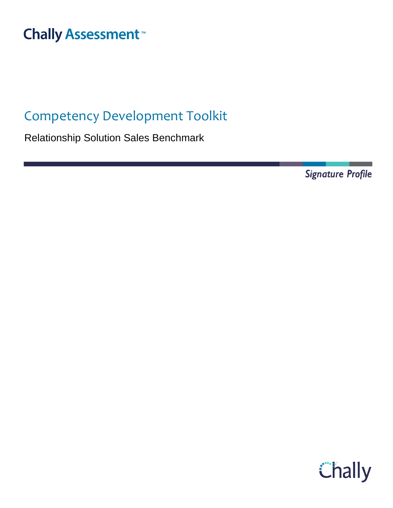# **Chally Assessment**<sup>™</sup>

## Competency Development Toolkit

Relationship Solution Sales Benchmark

**Signature Profile** 

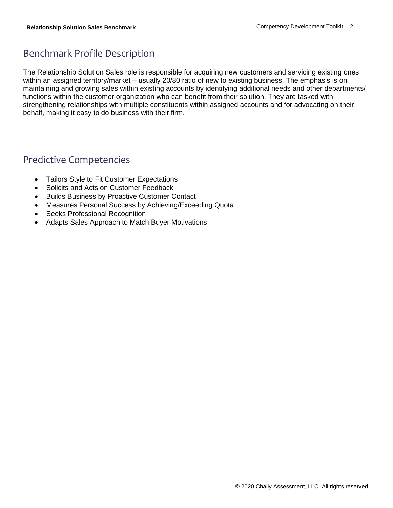### Benchmark Profile Description

The Relationship Solution Sales role is responsible for acquiring new customers and servicing existing ones within an assigned territory/market – usually 20/80 ratio of new to existing business. The emphasis is on maintaining and growing sales within existing accounts by identifying additional needs and other departments/ functions within the customer organization who can benefit from their solution. They are tasked with strengthening relationships with multiple constituents within assigned accounts and for advocating on their behalf, making it easy to do business with their firm.

### Predictive Competencies

- Tailors Style to Fit Customer Expectations
- Solicits and Acts on Customer Feedback
- Builds Business by Proactive Customer Contact
- Measures Personal Success by Achieving/Exceeding Quota
- Seeks Professional Recognition
- Adapts Sales Approach to Match Buyer Motivations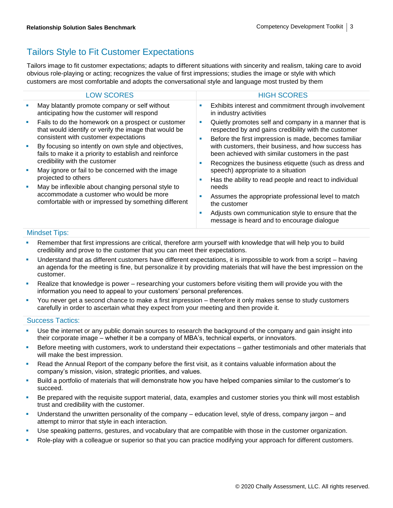### Tailors Style to Fit Customer Expectations

Tailors image to fit customer expectations; adapts to different situations with sincerity and realism, taking care to avoid obvious role-playing or acting; recognizes the value of first impressions; studies the image or style with which customers are most comfortable and adopts the conversational style and language most trusted by them

| <b>LOW SCORES</b>                                                                                                                                         | <b>HIGH SCORES</b>                                                                                                                                               |
|-----------------------------------------------------------------------------------------------------------------------------------------------------------|------------------------------------------------------------------------------------------------------------------------------------------------------------------|
| May blatantly promote company or self without<br>ш<br>anticipating how the customer will respond                                                          | Exhibits interest and commitment through involvement<br>in industry activities                                                                                   |
| Fails to do the homework on a prospect or customer<br>×<br>that would identify or verify the image that would be<br>consistent with customer expectations | Quietly promotes self and company in a manner that is<br>a.<br>respected by and gains credibility with the customer                                              |
| By focusing so intently on own style and objectives,<br>ш<br>fails to make it a priority to establish and reinforce                                       | Before the first impression is made, becomes familiar<br>with customers, their business, and how success has<br>been achieved with similar customers in the past |
| credibility with the customer<br>May ignore or fail to be concerned with the image<br>п<br>projected to others                                            | Recognizes the business etiquette (such as dress and<br>speech) appropriate to a situation                                                                       |
| May be inflexible about changing personal style to<br>accommodate a customer who would be more<br>comfortable with or impressed by something different    | Has the ability to read people and react to individual<br>needs<br>Assumes the appropriate professional level to match                                           |
|                                                                                                                                                           | the customer                                                                                                                                                     |
|                                                                                                                                                           | Adjusts own communication style to ensure that the<br>message is heard and to encourage dialogue                                                                 |

#### Mindset Tips:

- Remember that first impressions are critical, therefore arm yourself with knowledge that will help you to build credibility and prove to the customer that you can meet their expectations.
- Understand that as different customers have different expectations, it is impossible to work from a script having an agenda for the meeting is fine, but personalize it by providing materials that will have the best impression on the customer.
- Realize that knowledge is power researching your customers before visiting them will provide you with the information you need to appeal to your customers' personal preferences.
- You never get a second chance to make a first impression therefore it only makes sense to study customers carefully in order to ascertain what they expect from your meeting and then provide it.

- **■** Use the internet or any public domain sources to research the background of the company and gain insight into their corporate image – whether it be a company of MBA's, technical experts, or innovators.
- Before meeting with customers, work to understand their expectations gather testimonials and other materials that will make the best impression.
- Read the Annual Report of the company before the first visit, as it contains valuable information about the company's mission, vision, strategic priorities, and values.
- Build a portfolio of materials that will demonstrate how you have helped companies similar to the customer's to succeed.
- Be prepared with the requisite support material, data, examples and customer stories you think will most establish trust and credibility with the customer.
- Understand the unwritten personality of the company education level, style of dress, company jargon and attempt to mirror that style in each interaction.
- **■** Use speaking patterns, gestures, and vocabulary that are compatible with those in the customer organization.
- Role-play with a colleague or superior so that you can practice modifying your approach for different customers.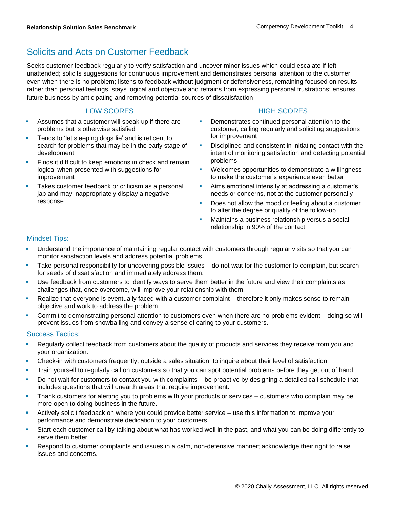### Solicits and Acts on Customer Feedback

Seeks customer feedback regularly to verify satisfaction and uncover minor issues which could escalate if left unattended; solicits suggestions for continuous improvement and demonstrates personal attention to the customer even when there is no problem; listens to feedback without judgment or defensiveness, remaining focused on results rather than personal feelings; stays logical and objective and refrains from expressing personal frustrations; ensures future business by anticipating and removing potential sources of dissatisfaction

|    | <b>LOW SCORES</b>                                                                                                                                                                                                                                    |    | <b>HIGH SCORES</b>                                                                                                     |
|----|------------------------------------------------------------------------------------------------------------------------------------------------------------------------------------------------------------------------------------------------------|----|------------------------------------------------------------------------------------------------------------------------|
|    | Assumes that a customer will speak up if there are<br>problems but is otherwise satisfied                                                                                                                                                            | ×  | Demonstrates continued personal attention to the<br>customer, calling regularly and soliciting suggestions             |
| a. | Tends to 'let sleeping dogs lie' and is reticent to<br>search for problems that may be in the early stage of<br>development<br>Finds it difficult to keep emotions in check and remain<br>logical when presented with suggestions for<br>improvement |    | for improvement                                                                                                        |
|    |                                                                                                                                                                                                                                                      | ш  | Disciplined and consistent in initiating contact with the<br>intent of monitoring satisfaction and detecting potential |
|    |                                                                                                                                                                                                                                                      |    | problems                                                                                                               |
|    |                                                                                                                                                                                                                                                      | п  | Welcomes opportunities to demonstrate a willingness<br>to make the customer's experience even better                   |
|    | Takes customer feedback or criticism as a personal<br>jab and may inappropriately display a negative<br>response                                                                                                                                     | ×, | Aims emotional intensity at addressing a customer's<br>needs or concerns, not at the customer personally               |
|    |                                                                                                                                                                                                                                                      | ×  | Does not allow the mood or feeling about a customer<br>to alter the degree or quality of the follow-up                 |
|    |                                                                                                                                                                                                                                                      | п  | Maintains a business relationship versus a social<br>relationship in 90% of the contact                                |
|    |                                                                                                                                                                                                                                                      |    |                                                                                                                        |

#### Mindset Tips:

- **•** Understand the importance of maintaining regular contact with customers through regular visits so that you can monitor satisfaction levels and address potential problems.
- Take personal responsibility for uncovering possible issues do not wait for the customer to complain, but search for seeds of dissatisfaction and immediately address them.
- Use feedback from customers to identify ways to serve them better in the future and view their complaints as challenges that, once overcome, will improve your relationship with them.
- **EXECT** Realize that everyone is eventually faced with a customer complaint therefore it only makes sense to remain objective and work to address the problem.
- Commit to demonstrating personal attention to customers even when there are no problems evident doing so will prevent issues from snowballing and convey a sense of caring to your customers.

- **Regularly collect feedback from customers about the quality of products and services they receive from you and** your organization.
- Check-in with customers frequently, outside a sales situation, to inquire about their level of satisfaction.
- **•** Train yourself to regularly call on customers so that you can spot potential problems before they get out of hand.
- Do not wait for customers to contact you with complaints be proactive by designing a detailed call schedule that includes questions that will unearth areas that require improvement.
- Thank customers for alerting you to problems with your products or services customers who complain may be more open to doing business in the future.
- Actively solicit feedback on where you could provide better service use this information to improve your performance and demonstrate dedication to your customers.
- Start each customer call by talking about what has worked well in the past, and what you can be doing differently to serve them better.
- Respond to customer complaints and issues in a calm, non-defensive manner; acknowledge their right to raise issues and concerns.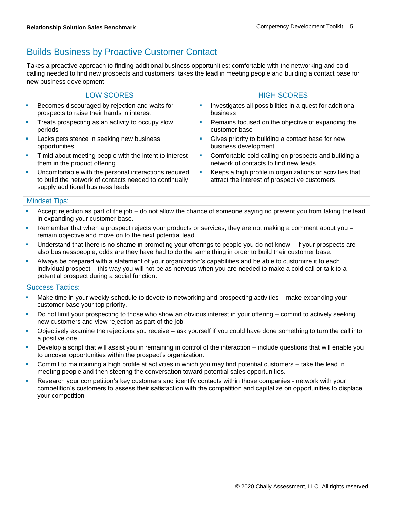### Builds Business by Proactive Customer Contact

Takes a proactive approach to finding additional business opportunities; comfortable with the networking and cold calling needed to find new prospects and customers; takes the lead in meeting people and building a contact base for new business development

|                             | <b>LOW SCORES</b>                                                                                                                                   |    | <b>HIGH SCORES</b>                                                                                        |
|-----------------------------|-----------------------------------------------------------------------------------------------------------------------------------------------------|----|-----------------------------------------------------------------------------------------------------------|
| $\mathcal{L}_{\mathcal{A}}$ | Becomes discouraged by rejection and waits for<br>prospects to raise their hands in interest                                                        |    | Investigates all possibilities in a quest for additional<br>business                                      |
| a.                          | Treats prospecting as an activity to occupy slow<br>periods                                                                                         | M. | Remains focused on the objective of expanding the<br>customer base                                        |
| $\mathcal{L}_{\mathcal{A}}$ | Lacks persistence in seeking new business<br>opportunities                                                                                          |    | Gives priority to building a contact base for new<br>business development                                 |
| $\mathcal{L}_{\mathcal{A}}$ | Timid about meeting people with the intent to interest<br>them in the product offering                                                              | ш  | Comfortable cold calling on prospects and building a<br>network of contacts to find new leads             |
| a.                          | Uncomfortable with the personal interactions required<br>to build the network of contacts needed to continually<br>supply additional business leads | ш  | Keeps a high profile in organizations or activities that<br>attract the interest of prospective customers |
|                             |                                                                                                                                                     |    |                                                                                                           |

#### Mindset Tips:

- Accept rejection as part of the job do not allow the chance of someone saying no prevent you from taking the lead in expanding your customer base.
- Remember that when a prospect rejects your products or services, they are not making a comment about you  $$ remain objective and move on to the next potential lead.
- **■** Understand that there is no shame in promoting your offerings to people you do not know if your prospects are also businesspeople, odds are they have had to do the same thing in order to build their customer base.
- Always be prepared with a statement of your organization's capabilities and be able to customize it to each individual prospect – this way you will not be as nervous when you are needed to make a cold call or talk to a potential prospect during a social function.

- **EXECT** Make time in your weekly schedule to devote to networking and prospecting activities make expanding your customer base your top priority.
- Do not limit your prospecting to those who show an obvious interest in your offering commit to actively seeking new customers and view rejection as part of the job.
- Objectively examine the rejections you receive ask yourself if you could have done something to turn the call into a positive one.
- Develop a script that will assist you in remaining in control of the interaction include questions that will enable you to uncover opportunities within the prospect's organization.
- Commit to maintaining a high profile at activities in which you may find potential customers take the lead in meeting people and then steering the conversation toward potential sales opportunities.
- Research your competition's key customers and identify contacts within those companies network with your competition's customers to assess their satisfaction with the competition and capitalize on opportunities to displace your competition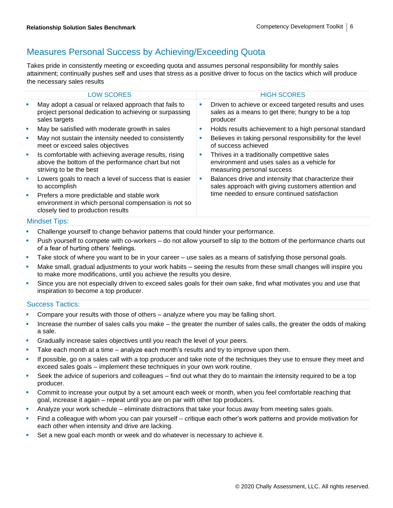### Measures Personal Success by Achieving/Exceeding Quota

Takes pride in consistently meeting or exceeding quota and assumes personal responsibility for monthly sales attainment; continually pushes self and uses that stress as a positive driver to focus on the tactics which will produce the necessary sales results

|   | <b>LOW SCORES</b>                                                                                                                                                                                                                     |   | <b>HIGH SCORES</b>                                                                                                        |
|---|---------------------------------------------------------------------------------------------------------------------------------------------------------------------------------------------------------------------------------------|---|---------------------------------------------------------------------------------------------------------------------------|
| п | May adopt a casual or relaxed approach that fails to<br>project personal dedication to achieving or surpassing<br>sales targets                                                                                                       | ш | Driven to achieve or exceed targeted results and uses<br>sales as a means to get there; hungry to be a top<br>producer    |
| × | May be satisfied with moderate growth in sales                                                                                                                                                                                        | ш | Holds results achievement to a high personal standard                                                                     |
| × | May not sustain the intensity needed to consistently<br>meet or exceed sales objectives                                                                                                                                               | ш | Believes in taking personal responsibility for the level<br>of success achieved                                           |
| × | Is comfortable with achieving average results, rising<br>above the bottom of the performance chart but not<br>striving to be the best                                                                                                 | ш | Thrives in a traditionally competitive sales<br>environment and uses sales as a vehicle for<br>measuring personal success |
| × | Lowers goals to reach a level of success that is easier<br>to accomplish                                                                                                                                                              |   | Balances drive and intensity that characterize their<br>sales approach with giving customers attention and                |
| ш | Prefers a more predictable and stable work<br>environment in which personal compensation is not so<br>closely tied to production results                                                                                              |   | time needed to ensure continued satisfaction                                                                              |
|   | $\mathbf{A}$ and $\mathbf{A}$ are assumed to the second second terms of the second second second second second second second second second second second second second second second second second second second second second second |   |                                                                                                                           |

#### Mindset Tips:

- **Challenge yourself to change behavior patterns that could hinder your performance.**
- Push yourself to compete with co-workers do not allow yourself to slip to the bottom of the performance charts out of a fear of hurting others' feelings.
- Take stock of where you want to be in your career use sales as a means of satisfying those personal goals.
- Make small, gradual adjustments to your work habits seeing the results from these small changes will inspire you to make more modifications, until you achieve the results you desire.
- Since you are not especially driven to exceed sales goals for their own sake, find what motivates you and use that inspiration to become a top producer.

- Compare your results with those of others analyze where you may be falling short.
- Increase the number of sales calls you make the greater the number of sales calls, the greater the odds of making a sale.
- Gradually increase sales objectives until you reach the level of your peers.
- **E** Take each month at a time analyze each month's results and try to improve upon them.
- If possible, go on a sales call with a top producer and take note of the techniques they use to ensure they meet and exceed sales goals – implement these techniques in your own work routine.
- Seek the advice of superiors and colleagues find out what they do to maintain the intensity required to be a top producer.
- Commit to increase your output by a set amount each week or month, when you feel comfortable reaching that goal, increase it again – repeat until you are on par with other top producers.
- Analyze your work schedule eliminate distractions that take your focus away from meeting sales goals.
- Find a colleague with whom you can pair yourself critique each other's work patterns and provide motivation for each other when intensity and drive are lacking.
- Set a new goal each month or week and do whatever is necessary to achieve it.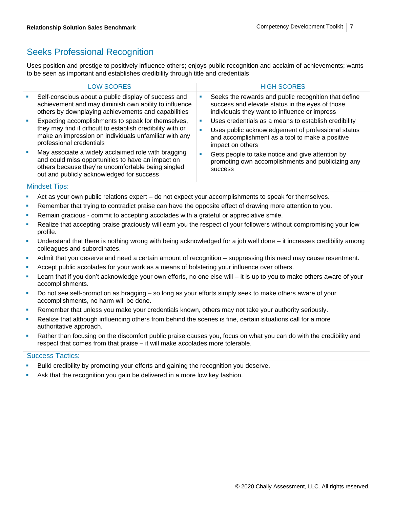### Seeks Professional Recognition

Uses position and prestige to positively influence others; enjoys public recognition and acclaim of achievements; wants to be seen as important and establishes credibility through title and credentials

|   | <b>LOW SCORES</b>                                                                                                                                                                                           |        | <b>HIGH SCORES</b>                                                                                                                                                                |
|---|-------------------------------------------------------------------------------------------------------------------------------------------------------------------------------------------------------------|--------|-----------------------------------------------------------------------------------------------------------------------------------------------------------------------------------|
| × | Self-conscious about a public display of success and<br>achievement and may diminish own ability to influence<br>others by downplaying achievements and capabilities                                        | ш      | Seeks the rewards and public recognition that define<br>success and elevate status in the eyes of those<br>individuals they want to influence or impress                          |
| ш | Expecting accomplishments to speak for themselves,<br>they may find it difficult to establish credibility with or<br>make an impression on individuals unfamiliar with any<br>professional credentials      | ш<br>ш | Uses credentials as a means to establish credibility<br>Uses public acknowledgement of professional status<br>and accomplishment as a tool to make a positive<br>impact on others |
| × | May associate a widely acclaimed role with bragging<br>and could miss opportunities to have an impact on<br>others because they're uncomfortable being singled<br>out and publicly acknowledged for success | ш      | Gets people to take notice and give attention by<br>promoting own accomplishments and publicizing any<br><b>SUCCESS</b>                                                           |

#### Mindset Tips:

- **EXTENT Act as your own public relations expert do not expect your accomplishments to speak for themselves.**
- **Remember that trying to contradict praise can have the opposite effect of drawing more attention to you.**
- Remain gracious commit to accepting accolades with a grateful or appreciative smile.
- **EXECT** Realize that accepting praise graciously will earn you the respect of your followers without compromising your low profile.
- Understand that there is nothing wrong with being acknowledged for a job well done it increases credibility among colleagues and subordinates.
- **•** Admit that you deserve and need a certain amount of recognition suppressing this need may cause resentment.
- **EXECT** Accept public accolades for your work as a means of bolstering your influence over others.
- **EXECT** Learn that if you don't acknowledge your own efforts, no one else will it is up to you to make others aware of your accomplishments.
- Do not see self-promotion as bragging so long as your efforts simply seek to make others aware of your accomplishments, no harm will be done.
- Remember that unless you make your credentials known, others may not take your authority seriously.
- **•** Realize that although influencing others from behind the scenes is fine, certain situations call for a more authoritative approach.
- Rather than focusing on the discomfort public praise causes you, focus on what you can do with the credibility and respect that comes from that praise – it will make accolades more tolerable.

- Build credibility by promoting your efforts and gaining the recognition you deserve.
- Ask that the recognition you gain be delivered in a more low key fashion.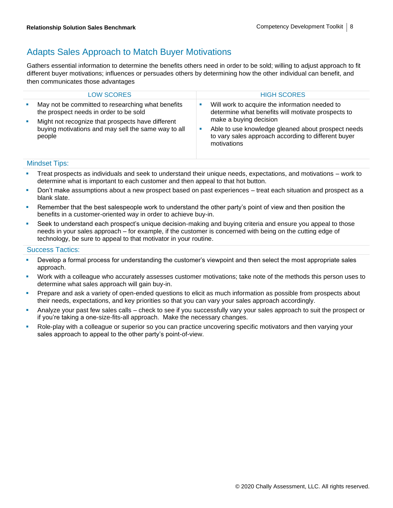### Adapts Sales Approach to Match Buyer Motivations

Gathers essential information to determine the benefits others need in order to be sold; willing to adjust approach to fit different buyer motivations; influences or persuades others by determining how the other individual can benefit, and then communicates those advantages

|                        | <b>LOW SCORES</b>                                                                                                                                                                                                 | <b>HIGH SCORES</b>                                                                                                             |
|------------------------|-------------------------------------------------------------------------------------------------------------------------------------------------------------------------------------------------------------------|--------------------------------------------------------------------------------------------------------------------------------|
| <b>CONTRACTOR</b><br>× | May not be committed to researching what benefits<br>the prospect needs in order to be sold<br>Might not recognize that prospects have different<br>buying motivations and may sell the same way to all<br>people | Will work to acquire the information needed to<br>determine what benefits will motivate prospects to<br>make a buying decision |
|                        |                                                                                                                                                                                                                   | Able to use knowledge gleaned about prospect needs<br>to vary sales approach according to different buyer<br>motivations       |

#### Mindset Tips:

- **•** Treat prospects as individuals and seek to understand their unique needs, expectations, and motivations work to determine what is important to each customer and then appeal to that hot button.
- **•** Don't make assumptions about a new prospect based on past experiences treat each situation and prospect as a blank slate.
- Remember that the best salespeople work to understand the other party's point of view and then position the benefits in a customer-oriented way in order to achieve buy-in.
- **•** Seek to understand each prospect's unique decision-making and buying criteria and ensure you appeal to those needs in your sales approach – for example, if the customer is concerned with being on the cutting edge of technology, be sure to appeal to that motivator in your routine.

- **■** Develop a formal process for understanding the customer's viewpoint and then select the most appropriate sales approach.
- Work with a colleague who accurately assesses customer motivations; take note of the methods this person uses to determine what sales approach will gain buy-in.
- Prepare and ask a variety of open-ended questions to elicit as much information as possible from prospects about their needs, expectations, and key priorities so that you can vary your sales approach accordingly.
- Analyze your past few sales calls check to see if you successfully vary your sales approach to suit the prospect or if you're taking a one-size-fits-all approach. Make the necessary changes.
- Role-play with a colleague or superior so you can practice uncovering specific motivators and then varying your sales approach to appeal to the other party's point-of-view.